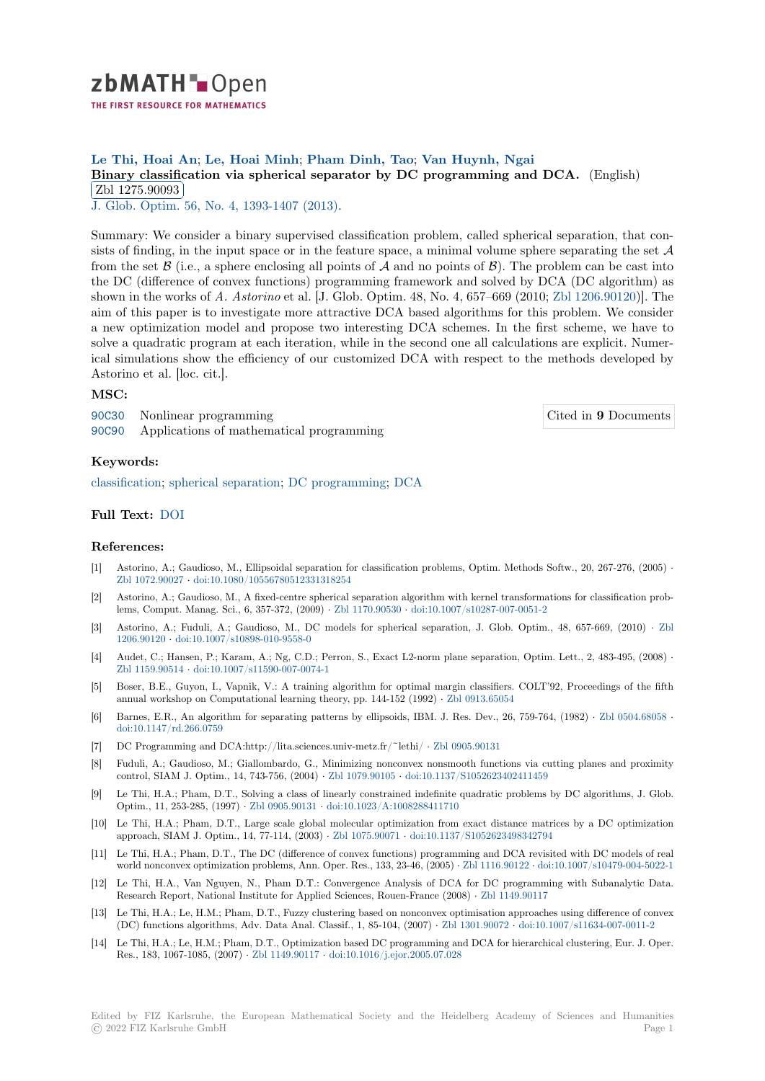

# **Le Thi, Hoai An**; **Le, Hoai Minh**; **Pham Dinh, Tao**; **Van Huynh, Ngai**

**[B](https://zbmath.org/)inary classification via spherical separator by DC programming and DCA.** (English) Zbl 1275.90093

**EDI 1210.00000**<br>J. Glob. Optim. 56, No. 4, 1393-1407 (2013).

[Summary: We consider a binary supervised classification problem, called spherical sepa](https://zbmath.org/1275.90093)ration, that con[sists of finding, in](https://zbmath.org/1275.90093) the input space or in the feature space, a minimal volume sphere separating the set *A* [from the set](https://zbmath.org/journals/?q=se:1408)  $\beta$  (i[.e., a sphere enclosing all po](https://zbmath.org/?q=in:322283)ints of  $\beta$  and no points of  $\beta$ ). The problem can be cast into the DC (difference of convex functions) programming framework and solved by DCA (DC algorithm) as shown in the works of *A. Astorino* et al. [J. Glob. Optim. 48, No. 4, 657–669 (2010; Zbl 1206.90120)]. The aim of this paper is to investigate more attractive DCA based algorithms for this problem. We consider a new optimization model and propose two interesting DCA schemes. In the first scheme, we have to solve a quadratic program at each iteration, while in the second one all calculations are explicit. Numerical simulations show the efficiency of our customized DCA with respect to the [methods develop](https://zbmath.org/?q=an:1206.90120)ed by Astorino et al. [loc. cit.].

### **MSC:**

90C30 Nonlinear programming 90C90 Applications of mathematical programming Cited in **9** Documents

#### **Keywords:**

[classifi](https://zbmath.org/classification/?q=cc:90C30)cation; spherical separation; DC programming; DCA

## **Full Text:** DOI

#### **[References:](https://zbmath.org/?q=ut:classification)**

- [1] Astorino, A.; Gaudioso, M., Ellipsoidal separation for classification problems, Optim. Methods Softw., 20, 267-276, (2005) *·* Zbl 1072.[90027](https://dx.doi.org/10.1007/s10898-012-9859-6) *·* doi:10.1080/10556780512331318254
- [2] Astorino, A.; Gaudioso, M., A fixed-centre spherical separation algorithm with kernel transformations for classification problems, Comput. Manag. Sci., 6, 357-372, (2009) *·* Zbl 1170.90530 *·* doi:10.1007/s10287-007-0051-2
- [3] Astorino, A.; Fuduli, A.; Gaudioso, M., DC models for spherical separation, J. Glob. Optim., 48, 657-669, (2010) *·* Zbl [1206.90120](https://zbmath.org/1072.90027) *·* doi:[10.1007/s10898-010-9558-0](https://dx.doi.org/10.1080/10556780512331318254)
- [4] Audet, C.; Hansen, P.; Karam, A.; Ng, C.D.; Perron, S., Exact L2-norm plane separation, Optim. Lett., 2, 483-495, (2008) *·* Zbl 1159.90514 *·* doi:10.1007/s11590-007-0074-1
- [5] Boser, B.E., Guyon, I., Vapnik, V.: A training algorithm for optimal margin classifiers. COLT'92, Proceedings of the [fifth](https://zbmath.org/1206.90120) [annual wor](https://zbmath.org/1206.90120)ks[hop on Computational learning](https://dx.doi.org/10.1007/s10898-010-9558-0) theory, pp. 144-152 (1992) *·* Zbl 0913.65054
- [6] Barnes, E.R., An algorithm for separating patterns by ellipsoids, IBM. J. Res. Dev., 26, 759-764, (1982) *·* Zbl 0504.68058 *·* [doi:10.1147/rd.](https://zbmath.org/1159.90514)2[66.0759](https://dx.doi.org/10.1007/s11590-007-0074-1)
- [7] DC Programming and DCA:http://lita.sciences.univ-metz.fr/~lethi/ *·* Zbl 0905.90131
- [8] Fuduli, A.; Gaudioso, M.; Giallombardo, G., Minimizing nonconvex non[smooth function](https://zbmath.org/0913.65054)s via cutting planes and proximity control, SIAM J. Optim., 14, 743-756, (2004) *·* Zbl 1079.90105 *·* doi:10.1137/S1052623402411459
- [9] [Le Thi, H.A.; Pham, D.](https://dx.doi.org/10.1147/rd.266.0759)T., Solving a class of linearly constrained indefinite quadratic problems by DC algorithms, J. Glob. Optim., 11, 253-285, (1997) *·* Zbl 0905.90131 *·* doi:10.1023/A:1008288[411710](https://zbmath.org/0905.90131)
- [10] Le Thi, H.A.; Pham, D.T., Large scale global molecular optimization from exact distance matrices by a DC optimization approach, SIAM J. Optim., 14, 77-114, (2003) *·* [Zbl 1075.90071](https://zbmath.org/1079.90105) *·* [doi:10.1137/S1052623498342794](https://dx.doi.org/10.1137/S1052623402411459)
- [11] Le Thi, H.A.; Pham, D.T., The DC (difference of convex functions) programming and DCA revisited with DC models of real world nonconvex optimizatio[n problems, Ann](https://zbmath.org/0905.90131). [Oper. Res., 133, 23-46, \(2005\)](https://dx.doi.org/10.1023/A:1008288411710) *·* Zbl 1116.90122 *·* doi:10.1007/s10479-004-5022-1
- [12] Le Thi, H.A., Van Nguyen, N., Pham D.T.: Convergence Analysis of DCA for DC programming with Subanalytic Data. Research Report, National Institute for Applied [Sciences, Roue](https://zbmath.org/1075.90071)n-France (2008) *·* [Zbl 1149.90117](https://dx.doi.org/10.1137/S1052623498342794)
- [13] Le Thi, H.A.; Le, H.M.; Pham, D.T., Fuzzy clustering based on nonconvex optimisation approaches using difference of convex (DC) functions algorithms, Adv. Data Anal. Classif., 1, 85-104, (2007) *·* Zbl [1301.90072](https://zbmath.org/1116.90122) *·* doi:[10.1007/s11634-007-0011-2](https://dx.doi.org/10.1007/s10479-004-5022-1)
- [14] Le Thi, H.A.; Le, H.M.; Pham, D.T., Optimization based DC programming and DCA for hierarchical clustering, Eur. J. Oper. Res., 183, 1067-1085, (2007) *·* Zbl 1149.90117 *·* doi:10.1016/j.ejor.2005.07.028